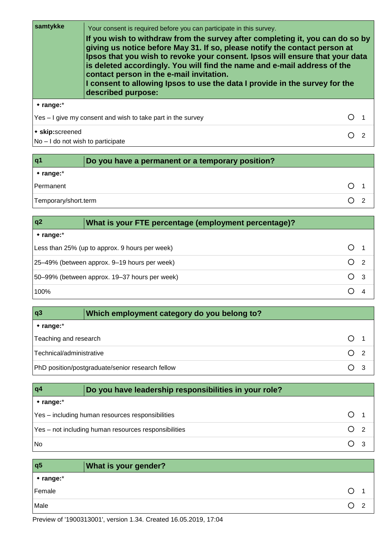**samtykke** Your consent is required before you can participate in this survey. **If you wish to withdraw from the survey after completing it, you can do so by giving us notice before May 31. If so, please notify the contact person at Ipsos that you wish to revoke your consent. Ipsos will ensure that your data is deleted accordingly. You will find the name and e-mail address of the contact person in the e-mail invitation. I consent to allowing Ipsos to use the data I provide in the survey for the described purpose: range:**\*

Yes – I give my consent and wish to take part in the survey  $\bigcirc$  1 **skip:**screened No – I do not wish to participate  $O<sub>2</sub>$ 

| q <sub>1</sub>          | Do you have a permanent or a temporary position? |  |
|-------------------------|--------------------------------------------------|--|
| $\bullet$ range: $\ast$ |                                                  |  |
| Permanent               |                                                  |  |
| Temporary/short.term    |                                                  |  |

| q2             | What is your FTE percentage (employment percentage)?      |                     |
|----------------|-----------------------------------------------------------|---------------------|
| $*$ range: $*$ |                                                           |                     |
|                | Less than 25% (up to approx. 9 hours per week)            |                     |
|                | 25-49% (between approx. 9-19 hours per week)              | ∩<br>$\overline{2}$ |
|                | ∩<br>50–99% (between approx. 19–37 hours per week)<br>- 3 |                     |
| 100%           |                                                           |                     |

| q3                       | Which employment category do you belong to?      |              |  |
|--------------------------|--------------------------------------------------|--------------|--|
| $*$ range: $*$           |                                                  |              |  |
| Teaching and research    |                                                  |              |  |
| Technical/administrative |                                                  | $\bigcirc$ 2 |  |
|                          | PhD position/postgraduate/senior research fellow |              |  |

| q4             | Do you have leadership responsibilities in your role? |  |
|----------------|-------------------------------------------------------|--|
| $*$ range: $*$ |                                                       |  |
|                | Yes - including human resources responsibilities      |  |
|                | Yes – not including human resources responsibilities  |  |
| <b>No</b>      |                                                       |  |

| q <sub>5</sub>    | <b>What is your gender?</b> |
|-------------------|-----------------------------|
| $\bullet$ range:* |                             |
| Female            |                             |
| Male              |                             |

Preview of '1900313001', version 1.34. Created 16.05.2019, 17:04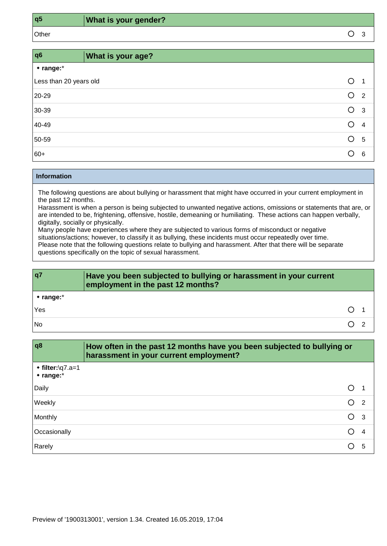**q5 What is your gender?**

Other  $\overline{O}$  3

| q <sub>6</sub>           | <b>What is your age?</b> |   |                |
|--------------------------|--------------------------|---|----------------|
| $\cdot$ range: $\dot{ }$ |                          |   |                |
| Less than 20 years old   |                          | O | -1             |
| 20-29                    |                          | O | $\overline{2}$ |
| 30-39                    |                          | O | $\mathbf{3}$   |
| 40-49                    |                          |   | 4              |
| 50-59                    |                          | ◯ | 5              |
| 60+                      |                          |   | 6              |

#### **Information**

The following questions are about bullying or harassment that might have occurred in your current employment in the past 12 months.

Harassment is when a person is being subjected to unwanted negative actions, omissions or statements that are, or are intended to be, frightening, offensive, hostile, demeaning or humiliating. These actions can happen verbally, digitally, socially or physically.

Many people have experiences where they are subjected to various forms of misconduct or negative situations/actions; however, to classify it as bullying, these incidents must occur repeatedly over time. Please note that the following questions relate to bullying and harassment. After that there will be separate questions specifically on the topic of sexual harassment.

| q7                     | Have you been subjected to bullying or harassment in your current<br>employment in the past 12 months? |  |
|------------------------|--------------------------------------------------------------------------------------------------------|--|
| $\cdot$ range: $\cdot$ |                                                                                                        |  |
| Yes                    |                                                                                                        |  |
| <b>No</b>              |                                                                                                        |  |

| q8                                  | How often in the past 12 months have you been subjected to bullying or<br>harassment in your current employment? |  |
|-------------------------------------|------------------------------------------------------------------------------------------------------------------|--|
| $\cdot$ filter:\q7.a=1<br>* range:* |                                                                                                                  |  |
| Daily                               |                                                                                                                  |  |
| Weekly                              | $\circ$<br>$\overline{2}$                                                                                        |  |
| Monthly                             | ∩<br>- 3                                                                                                         |  |
| Occasionally                        |                                                                                                                  |  |
| Rarely                              | 5                                                                                                                |  |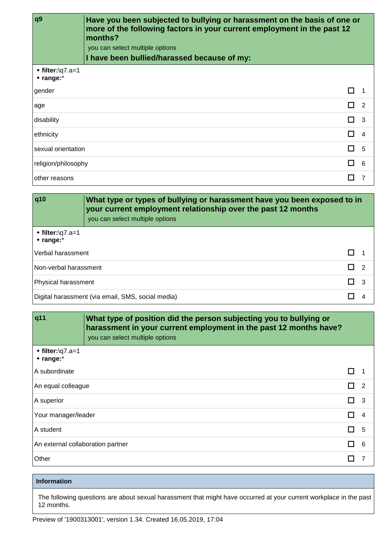| q <sub>9</sub>                      | Have you been subjected to bullying or harassment on the basis of one or<br>more of the following factors in your current employment in the past 12<br>months? |                   |  |
|-------------------------------------|----------------------------------------------------------------------------------------------------------------------------------------------------------------|-------------------|--|
|                                     | you can select multiple options                                                                                                                                |                   |  |
|                                     | I have been bullied/harassed because of my:                                                                                                                    |                   |  |
| $\cdot$ filter:\q7.a=1<br>• range:* |                                                                                                                                                                |                   |  |
| gender                              |                                                                                                                                                                | П<br>-1           |  |
| age                                 |                                                                                                                                                                | 2<br>. .          |  |
| disability                          |                                                                                                                                                                | П<br>-3           |  |
| ethnicity                           |                                                                                                                                                                | 4                 |  |
| sexual orientation                  |                                                                                                                                                                | П<br>5            |  |
| religion/philosophy                 |                                                                                                                                                                | 6<br>$\mathbf{I}$ |  |
| other reasons                       |                                                                                                                                                                |                   |  |

| q10                                      | What type or types of bullying or harassment have you been exposed to in<br>your current employment relationship over the past 12 months<br>you can select multiple options |   |
|------------------------------------------|-----------------------------------------------------------------------------------------------------------------------------------------------------------------------------|---|
| $\cdot$ filter:\q7.a=1<br>$*$ range: $*$ |                                                                                                                                                                             |   |
| Verbal harassment                        |                                                                                                                                                                             |   |
| Non-verbal harassment                    |                                                                                                                                                                             | 2 |
| Physical harassment                      |                                                                                                                                                                             | 3 |
|                                          | Digital harassment (via email, SMS, social media)                                                                                                                           |   |

| q11                                      | What type of position did the person subjecting you to bullying or<br>harassment in your current employment in the past 12 months have?<br>you can select multiple options |                      |
|------------------------------------------|----------------------------------------------------------------------------------------------------------------------------------------------------------------------------|----------------------|
| $\cdot$ filter:\q7.a=1<br>$*$ range: $*$ |                                                                                                                                                                            |                      |
| A subordinate                            |                                                                                                                                                                            | П                    |
| An equal colleague                       |                                                                                                                                                                            | П.<br>$\overline{2}$ |
| A superior                               |                                                                                                                                                                            | 3<br>П               |
| Your manager/leader                      |                                                                                                                                                                            | П<br>$\overline{4}$  |
| A student                                |                                                                                                                                                                            | 5<br>П               |
| An external collaboration partner        |                                                                                                                                                                            | п<br>6               |
| Other                                    |                                                                                                                                                                            | ш<br>7               |

# **Information**

The following questions are about sexual harassment that might have occurred at your current workplace in the past 12 months.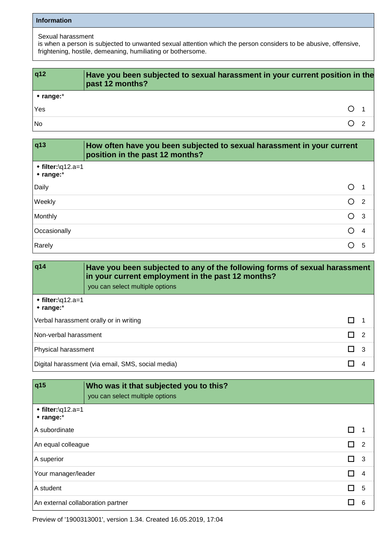#### **Information**

# Sexual harassment

is when a person is subjected to unwanted sexual attention which the person considers to be abusive, offensive, frightening, hostile, demeaning, humiliating or bothersome.

| q12                    | Have you been subjected to sexual harassment in your current position in the<br>past 12 months? |
|------------------------|-------------------------------------------------------------------------------------------------|
| $\cdot$ range: $\cdot$ |                                                                                                 |
| Yes                    |                                                                                                 |
| <b>No</b>              |                                                                                                 |

| q13                                       | How often have you been subjected to sexual harassment in your current<br>position in the past 12 months? |    |
|-------------------------------------------|-----------------------------------------------------------------------------------------------------------|----|
| $\cdot$ filter:\q12.a=1<br>$*$ range: $*$ |                                                                                                           |    |
| Daily                                     |                                                                                                           |    |
| Weekly                                    | ∩                                                                                                         | -2 |
| Monthly                                   | O                                                                                                         | -3 |
| Occasionally                              | ∩                                                                                                         | 4  |
| Rarely                                    |                                                                                                           | 5  |

| q14                                       | Have you been subjected to any of the following forms of sexual harassment<br>in your current employment in the past 12 months?<br>you can select multiple options |  |
|-------------------------------------------|--------------------------------------------------------------------------------------------------------------------------------------------------------------------|--|
| $\cdot$ filter:\q12.a=1<br>$*$ range: $*$ |                                                                                                                                                                    |  |
| Verbal harassment orally or in writing    |                                                                                                                                                                    |  |
|                                           | Non-verbal harassment<br>- 2                                                                                                                                       |  |
|                                           | Physical harassment<br>- 3                                                                                                                                         |  |
|                                           | Digital harassment (via email, SMS, social media)                                                                                                                  |  |

| q15                                       | Who was it that subjected you to this?<br>you can select multiple options |    |                |
|-------------------------------------------|---------------------------------------------------------------------------|----|----------------|
| $\cdot$ filter:\q12.a=1<br>$*$ range: $*$ |                                                                           |    |                |
| A subordinate                             |                                                                           |    |                |
| An equal colleague                        |                                                                           | П  | $\overline{2}$ |
| A superior                                |                                                                           | П. | -3             |
|                                           | Your manager/leader<br>П                                                  |    | 4              |
| A student<br>l I                          |                                                                           | -5 |                |
| An external collaboration partner         |                                                                           |    | 6              |

Preview of '1900313001', version 1.34. Created 16.05.2019, 17:04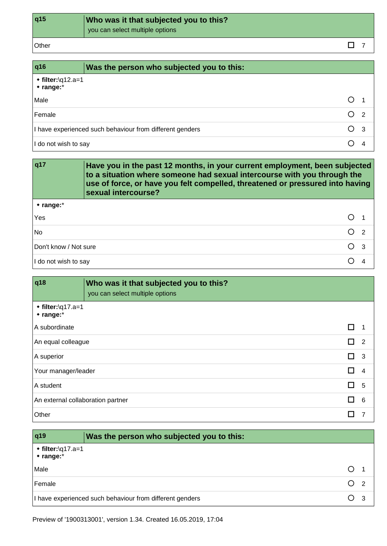| q15   | Who was it that subjected you to this?<br>you can select multiple options |  |
|-------|---------------------------------------------------------------------------|--|
| Other |                                                                           |  |

| q16                                       | Was the person who subjected you to this:                |            |                |
|-------------------------------------------|----------------------------------------------------------|------------|----------------|
| $\cdot$ filter:\q12.a=1<br>$*$ range: $*$ |                                                          |            |                |
| Male                                      |                                                          | ( )        |                |
| Female                                    |                                                          | ()         | $\overline{2}$ |
|                                           | I have experienced such behaviour from different genders | $\bigcirc$ | - 3            |
| I do not wish to say                      |                                                          |            |                |

| q17                                     | Have you in the past 12 months, in your current employment, been subjected<br>to a situation where someone had sexual intercourse with you through the<br>use of force, or have you felt compelled, threatened or pressured into having<br>sexual intercourse? |                |  |
|-----------------------------------------|----------------------------------------------------------------------------------------------------------------------------------------------------------------------------------------------------------------------------------------------------------------|----------------|--|
| $*$ range: $*$                          |                                                                                                                                                                                                                                                                |                |  |
| Yes                                     |                                                                                                                                                                                                                                                                |                |  |
| <b>No</b>                               |                                                                                                                                                                                                                                                                | O <sub>2</sub> |  |
| Don't know / Not sure<br>O <sub>3</sub> |                                                                                                                                                                                                                                                                |                |  |
| I do not wish to say                    |                                                                                                                                                                                                                                                                |                |  |

| q18                                  | Who was it that subjected you to this?<br>you can select multiple options |   |
|--------------------------------------|---------------------------------------------------------------------------|---|
| $\cdot$ filter:\q17.a=1<br>* range:* |                                                                           |   |
| A subordinate                        |                                                                           | □ |
|                                      | П.<br>$\overline{\phantom{2}}$<br>An equal colleague                      |   |
| A superior                           | $\Box$ 3                                                                  |   |
|                                      | п<br>Your manager/leader<br>$\overline{4}$                                |   |
| A student                            | п<br>5                                                                    |   |
|                                      | П<br>An external collaboration partner<br>6                               |   |
| Other                                | п<br>7                                                                    |   |

| q19                                           | Was the person who subjected you to this:                |  |  |
|-----------------------------------------------|----------------------------------------------------------|--|--|
| $\cdot$ filter:\q17.a=1<br>$\star$ range: $*$ |                                                          |  |  |
| Male                                          |                                                          |  |  |
| Female                                        |                                                          |  |  |
|                                               | I have experienced such behaviour from different genders |  |  |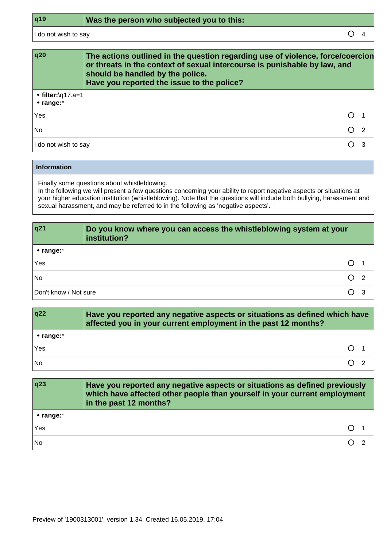I do not wish to say  $\qquad \qquad \Box$ 

| q20                                       | The actions outlined in the question regarding use of violence, force/coercion<br>or threats in the context of sexual intercourse is punishable by law, and<br>should be handled by the police.<br>Have you reported the issue to the police? |   |
|-------------------------------------------|-----------------------------------------------------------------------------------------------------------------------------------------------------------------------------------------------------------------------------------------------|---|
| $\cdot$ filter:\q17.a=1<br>$*$ range: $*$ |                                                                                                                                                                                                                                               |   |
| Yes                                       | $\bigcirc$                                                                                                                                                                                                                                    |   |
| <b>No</b>                                 | $\bigcap$ 2                                                                                                                                                                                                                                   |   |
| I do not wish to say                      |                                                                                                                                                                                                                                               | З |

#### **Information**

Finally some questions about whistleblowing.

In the following we will present a few questions concerning your ability to report negative aspects or situations at your higher education institution (whistleblowing). Note that the questions will include both bullying, harassment and sexual harassment, and may be referred to in the following as 'negative aspects'.

| q21                    | Do you know where you can access the whistleblowing system at your<br>institution? |  |
|------------------------|------------------------------------------------------------------------------------|--|
| $\cdot$ range: $\cdot$ |                                                                                    |  |
| Yes                    |                                                                                    |  |
| ∩<br>No<br>- 2         |                                                                                    |  |
| Don't know / Not sure  |                                                                                    |  |

| q22                | Have you reported any negative aspects or situations as defined which have<br>affected you in your current employment in the past 12 months? |
|--------------------|----------------------------------------------------------------------------------------------------------------------------------------------|
| $\star$ range: $*$ |                                                                                                                                              |
| Yes                |                                                                                                                                              |
| <b>No</b>          |                                                                                                                                              |

| q23            | Have you reported any negative aspects or situations as defined previously<br>which have affected other people than yourself in your current employment<br>in the past 12 months? |
|----------------|-----------------------------------------------------------------------------------------------------------------------------------------------------------------------------------|
| $*$ range: $*$ |                                                                                                                                                                                   |
| Yes            |                                                                                                                                                                                   |
| <b>No</b>      |                                                                                                                                                                                   |